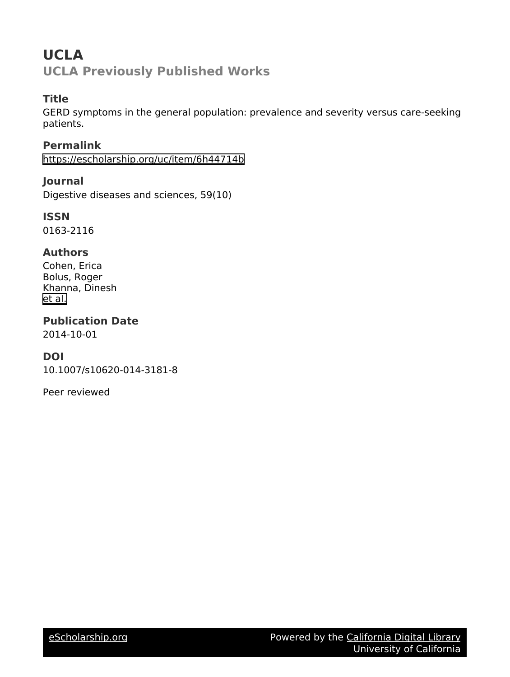# **UCLA UCLA Previously Published Works**

# **Title**

GERD symptoms in the general population: prevalence and severity versus care-seeking patients.

**Permalink** <https://escholarship.org/uc/item/6h44714b>

**Journal** Digestive diseases and sciences, 59(10)

**ISSN** 0163-2116

# **Authors**

Cohen, Erica Bolus, Roger Khanna, Dinesh [et al.](https://escholarship.org/uc/item/6h44714b#author)

**Publication Date** 2014-10-01

## **DOI**

10.1007/s10620-014-3181-8

Peer reviewed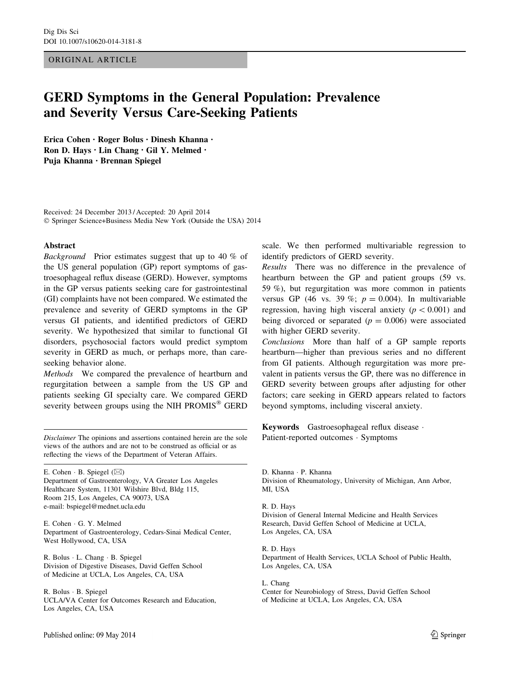#### ORIGINAL ARTICLE

# GERD Symptoms in the General Population: Prevalence and Severity Versus Care-Seeking Patients

Erica Cohen • Roger Bolus • Dinesh Khanna • Ron D. Hays • Lin Chang • Gil Y. Melmed • Puja Khanna • Brennan Spiegel

Received: 24 December 2013 / Accepted: 20 April 2014 © Springer Science+Business Media New York (Outside the USA) 2014

#### Abstract

Background Prior estimates suggest that up to 40 % of the US general population (GP) report symptoms of gastroesophageal reflux disease (GERD). However, symptoms in the GP versus patients seeking care for gastrointestinal (GI) complaints have not been compared. We estimated the prevalence and severity of GERD symptoms in the GP versus GI patients, and identified predictors of GERD severity. We hypothesized that similar to functional GI disorders, psychosocial factors would predict symptom severity in GERD as much, or perhaps more, than careseeking behavior alone.

Methods We compared the prevalence of heartburn and regurgitation between a sample from the US GP and patients seeking GI specialty care. We compared GERD severity between groups using the NIH PROMIS<sup>®</sup> GERD

Disclaimer The opinions and assertions contained herein are the sole views of the authors and are not to be construed as official or as reflecting the views of the Department of Veteran Affairs.

E. Cohen  $\cdot$  B. Spiegel ( $\boxtimes$ ) Department of Gastroenterology, VA Greater Los Angeles Healthcare System, 11301 Wilshire Blvd, Bldg 115, Room 215, Los Angeles, CA 90073, USA e-mail: bspiegel@mednet.ucla.edu

E. Cohen - G. Y. Melmed Department of Gastroenterology, Cedars-Sinai Medical Center, West Hollywood, CA, USA

R. Bolus - L. Chang - B. Spiegel Division of Digestive Diseases, David Geffen School of Medicine at UCLA, Los Angeles, CA, USA

R. Bolus - B. Spiegel UCLA/VA Center for Outcomes Research and Education, Los Angeles, CA, USA

scale. We then performed multivariable regression to identify predictors of GERD severity.

Results There was no difference in the prevalence of heartburn between the GP and patient groups (59 vs. 59 %), but regurgitation was more common in patients versus GP (46 vs. 39 %;  $p = 0.004$ ). In multivariable regression, having high visceral anxiety ( $p < 0.001$ ) and being divorced or separated  $(p = 0.006)$  were associated with higher GERD severity.

Conclusions More than half of a GP sample reports heartburn—higher than previous series and no different from GI patients. Although regurgitation was more prevalent in patients versus the GP, there was no difference in GERD severity between groups after adjusting for other factors; care seeking in GERD appears related to factors beyond symptoms, including visceral anxiety.

Keywords Gastroesophageal reflux disease - Patient-reported outcomes · Symptoms

D. Khanna · P. Khanna Division of Rheumatology, University of Michigan, Ann Arbor, MI, USA

R. D. Hays Division of General Internal Medicine and Health Services Research, David Geffen School of Medicine at UCLA, Los Angeles, CA, USA

R. D. Hays Department of Health Services, UCLA School of Public Health, Los Angeles, CA, USA

L. Chang Center for Neurobiology of Stress, David Geffen School of Medicine at UCLA, Los Angeles, CA, USA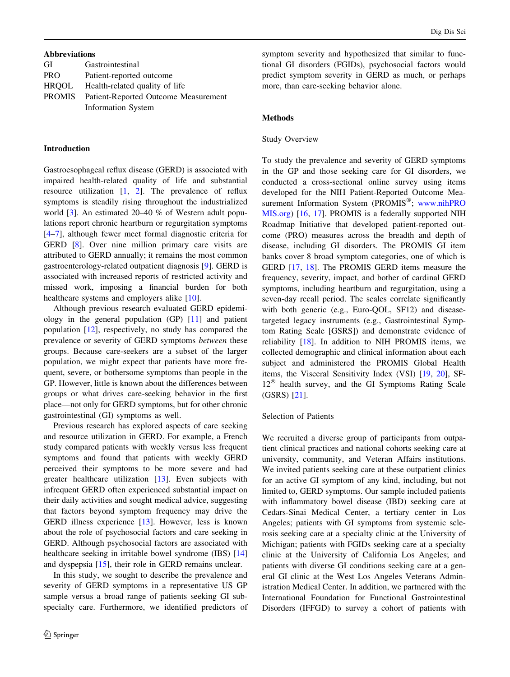### Abbreviations

| GI         | Gastrointestinal                     |
|------------|--------------------------------------|
| <b>PRO</b> | Patient-reported outcome             |
| HROOL      | Health-related quality of life       |
| PROMIS     | Patient-Reported Outcome Measurement |
|            | <b>Information System</b>            |

#### Introduction

Gastroesophageal reflux disease (GERD) is associated with impaired health-related quality of life and substantial resource utilization [[1,](#page-8-0) [2](#page-8-0)]. The prevalence of reflux symptoms is steadily rising throughout the industrialized world [\[3](#page-8-0)]. An estimated 20–40 % of Western adult populations report chronic heartburn or regurgitation symptoms [\[4–7](#page-8-0)], although fewer meet formal diagnostic criteria for GERD [[8\]](#page-8-0). Over nine million primary care visits are attributed to GERD annually; it remains the most common gastroenterology-related outpatient diagnosis [[9\]](#page-8-0). GERD is associated with increased reports of restricted activity and missed work, imposing a financial burden for both healthcare systems and employers alike [[10](#page-8-0)].

Although previous research evaluated GERD epidemiology in the general population (GP) [[11\]](#page-8-0) and patient population [\[12](#page-8-0)], respectively, no study has compared the prevalence or severity of GERD symptoms between these groups. Because care-seekers are a subset of the larger population, we might expect that patients have more frequent, severe, or bothersome symptoms than people in the GP. However, little is known about the differences between groups or what drives care-seeking behavior in the first place—not only for GERD symptoms, but for other chronic gastrointestinal (GI) symptoms as well.

Previous research has explored aspects of care seeking and resource utilization in GERD. For example, a French study compared patients with weekly versus less frequent symptoms and found that patients with weekly GERD perceived their symptoms to be more severe and had greater healthcare utilization [[13](#page-8-0)]. Even subjects with infrequent GERD often experienced substantial impact on their daily activities and sought medical advice, suggesting that factors beyond symptom frequency may drive the GERD illness experience [\[13](#page-8-0)]. However, less is known about the role of psychosocial factors and care seeking in GERD. Although psychosocial factors are associated with healthcare seeking in irritable bowel syndrome (IBS) [[14\]](#page-8-0) and dyspepsia [[15\]](#page-8-0), their role in GERD remains unclear.

In this study, we sought to describe the prevalence and severity of GERD symptoms in a representative US GP sample versus a broad range of patients seeking GI subspecialty care. Furthermore, we identified predictors of symptom severity and hypothesized that similar to functional GI disorders (FGIDs), psychosocial factors would predict symptom severity in GERD as much, or perhaps more, than care-seeking behavior alone.

#### Methods

### Study Overview

To study the prevalence and severity of GERD symptoms in the GP and those seeking care for GI disorders, we conducted a cross-sectional online survey using items developed for the NIH Patient-Reported Outcome Measurement Information System (PROMIS<sup>®</sup>; [www.nihPRO](http://www.nihPROMIS.org) [MIS.org\)](http://www.nihPROMIS.org) [[16,](#page-9-0) [17\]](#page-9-0). PROMIS is a federally supported NIH Roadmap Initiative that developed patient-reported outcome (PRO) measures across the breadth and depth of disease, including GI disorders. The PROMIS GI item banks cover 8 broad symptom categories, one of which is GERD [[17,](#page-9-0) [18](#page-9-0)]. The PROMIS GERD items measure the frequency, severity, impact, and bother of cardinal GERD symptoms, including heartburn and regurgitation, using a seven-day recall period. The scales correlate significantly with both generic (e.g., Euro-QOL, SF12) and diseasetargeted legacy instruments (e.g., Gastrointestinal Symptom Rating Scale [GSRS]) and demonstrate evidence of reliability [[18\]](#page-9-0). In addition to NIH PROMIS items, we collected demographic and clinical information about each subject and administered the PROMIS Global Health items, the Visceral Sensitivity Index (VSI) [\[19](#page-9-0), [20\]](#page-9-0), SF- $12^{\circledR}$  health survey, and the GI Symptoms Rating Scale (GSRS) [\[21](#page-9-0)].

## Selection of Patients

We recruited a diverse group of participants from outpatient clinical practices and national cohorts seeking care at university, community, and Veteran Affairs institutions. We invited patients seeking care at these outpatient clinics for an active GI symptom of any kind, including, but not limited to, GERD symptoms. Our sample included patients with inflammatory bowel disease (IBD) seeking care at Cedars-Sinai Medical Center, a tertiary center in Los Angeles; patients with GI symptoms from systemic sclerosis seeking care at a specialty clinic at the University of Michigan; patients with FGIDs seeking care at a specialty clinic at the University of California Los Angeles; and patients with diverse GI conditions seeking care at a general GI clinic at the West Los Angeles Veterans Administration Medical Center. In addition, we partnered with the International Foundation for Functional Gastrointestinal Disorders (IFFGD) to survey a cohort of patients with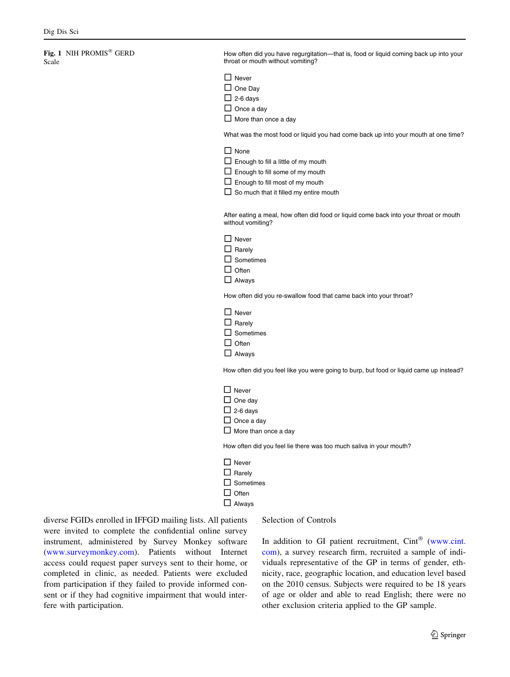### <span id="page-3-0"></span>Fig. 1 NIH PROMIS<sup>®</sup> GERD Scale

How often did you have regurgitation—that is, food or liquid coming back up into your throat or mouth without vomiting? **Never**  $\square$  One Dav  $\Box$  2-6 days  $\Box$  Once a dav  $\Box$  More than once a day What was the most food or liquid you had come back up into your mouth at one time?  $\Box$  None  $\Box$  Enough to fill a little of my mouth  $\square$  Enough to fill some of my mouth  $\square$  Enough to fill most of my mouth  $\Box$  So much that it filled my entire mouth After eating a meal, how often did food or liquid come back into your throat or mouth without vomiting?

| $\Box$ Never     |
|------------------|
| $\Box$ Rarely    |
| $\Box$ Sometimes |
| $\Box$ Often     |
| $\Box$ Always    |

How often did you re-swallow food that came back into your throat?

| $\Box$ Never     |
|------------------|
| $\Box$ Rarely    |
| $\Box$ Sometimes |
| $\Box$ Often     |
| $\Box$ Alwavs    |

How often did you feel like you were going to burp, but food or liquid came up instead?

| $\Box$ Never                |
|-----------------------------|
| $\Box$ One day              |
| $\Box$ 2-6 days             |
| $\Box$ Once a day           |
| $\Box$ More than once a dav |

How often did you feel lie there was too much saliva in your mouth?

| $\Box$ Never     |
|------------------|
| $\Box$ Rarely    |
| $\Box$ Sometimes |
| $\Box$ Often     |
| $\Box$ Always    |

diverse FGIDs enrolled in IFFGD mailing lists. All patients were invited to complete the confidential online survey instrument, administered by Survey Monkey software [\(www.surveymonkey.com\)](http://www.surveymonkey.com). Patients without Internet access could request paper surveys sent to their home, or completed in clinic, as needed. Patients were excluded from participation if they failed to provide informed consent or if they had cognitive impairment that would interfere with participation.

#### Selection of Controls

In addition to GI patient recruitment,  $Cint^{\circledR}$  ([www.cint.](http://www.cint.com) [com](http://www.cint.com)), a survey research firm, recruited a sample of individuals representative of the GP in terms of gender, ethnicity, race, geographic location, and education level based on the 2010 census. Subjects were required to be 18 years of age or older and able to read English; there were no other exclusion criteria applied to the GP sample.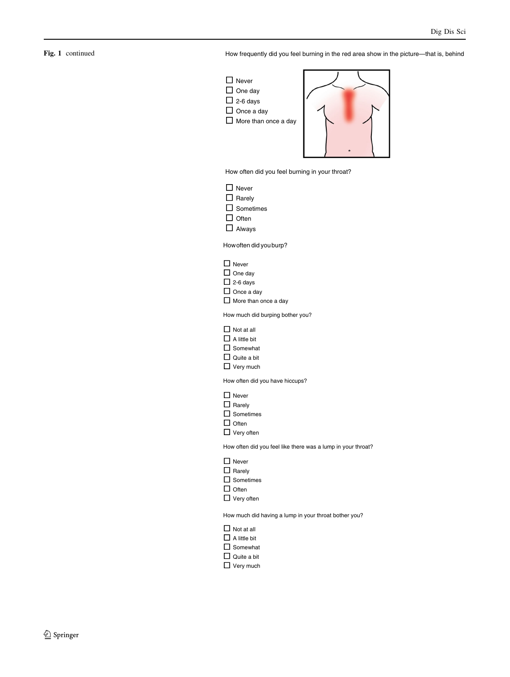### Fig. 1 continued

How frequently did you feel burning in the red area show in the picture—that is, behind



How often did you feel burning in your throat?

- □ Never
- $\Box$  Rarely
- $\square$  Sometimes
- $\Box$  Often
- Always

Howoften did youburp?

|  | ۰. |
|--|----|
|--|----|

- $\Box$  One day
- $\Box$  2-6 days
- $\Box$  Once a day

 $\Box$  More than once a day

How much did burping bother you?

|  | $\Box$ Not at all |
|--|-------------------|
|--|-------------------|

- $\Box$  A little bit
- □ Somewhat
- $\square$  Quite a bit
- □ Very much

How often did you have hiccups?

- □ Never
- $\Box$  Rarely
- $\square$  Sometimes
- $\Box$  Often
- $\Box$  Very often

How often did you feel like there was a lump in your throat?

- □ Never
- $\Box$  Rarely
- $\Box$  Sometimes
- $\Box$  Often
- $\Box$  Very often

How much did having a lump in your throat bother you?

- $\Box$  Not at all
- $\Box$  A little bit
- $\square$  Somewhat
- $\Box$  Quite a bit
- □ Very much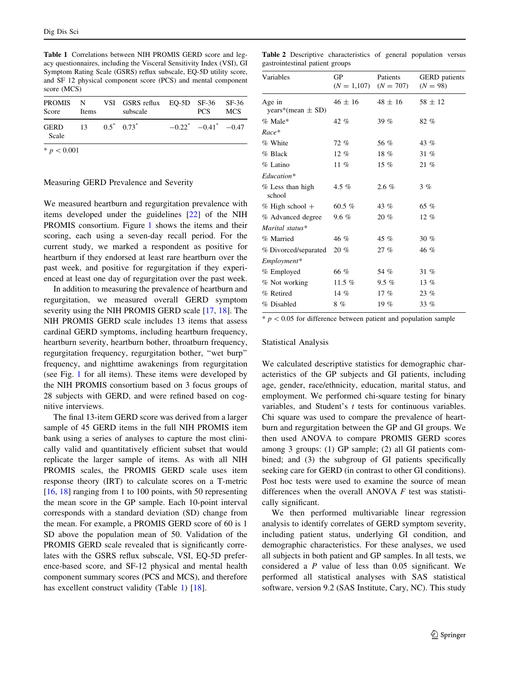<span id="page-5-0"></span>Table 1 Correlations between NIH PROMIS GERD score and legacy questionnaires, including the Visceral Sensitivity Index (VSI), GI Symptom Rating Scale (GSRS) reflux subscale, EQ-5D utility score, and SF 12 physical component score (PCS) and mental component score (MCS)

| Score                | Items                   | PROMIS N VSI GSRS reflux EQ-5D SF-36 SF-36<br>subscale | PCS.                        | MCS |
|----------------------|-------------------------|--------------------------------------------------------|-----------------------------|-----|
| <b>GERD</b><br>Scale | $13 \t 0.5^* \t 0.73^*$ |                                                        | $-0.22^*$ $-0.41^*$ $-0.47$ |     |
| * $p < 0.001$        |                         |                                                        |                             |     |

# Measuring GERD Prevalence and Severity

We measured heartburn and regurgitation prevalence with items developed under the guidelines [\[22](#page-9-0)] of the NIH PROMIS consortium. Figure [1](#page-3-0) shows the items and their scoring, each using a seven-day recall period. For the current study, we marked a respondent as positive for heartburn if they endorsed at least rare heartburn over the past week, and positive for regurgitation if they experienced at least one day of regurgitation over the past week.

In addition to measuring the prevalence of heartburn and regurgitation, we measured overall GERD symptom severity using the NIH PROMIS GERD scale [\[17](#page-9-0), [18](#page-9-0)]. The NIH PROMIS GERD scale includes 13 items that assess cardinal GERD symptoms, including heartburn frequency, heartburn severity, heartburn bother, throatburn frequency, regurgitation frequency, regurgitation bother, ''wet burp'' frequency, and nighttime awakenings from regurgitation (see Fig. [1](#page-3-0) for all items). These items were developed by the NIH PROMIS consortium based on 3 focus groups of 28 subjects with GERD, and were refined based on cognitive interviews.

The final 13-item GERD score was derived from a larger sample of 45 GERD items in the full NIH PROMIS item bank using a series of analyses to capture the most clinically valid and quantitatively efficient subset that would replicate the larger sample of items. As with all NIH PROMIS scales, the PROMIS GERD scale uses item response theory (IRT) to calculate scores on a T-metric [\[16](#page-9-0), [18\]](#page-9-0) ranging from 1 to 100 points, with 50 representing the mean score in the GP sample. Each 10-point interval corresponds with a standard deviation (SD) change from the mean. For example, a PROMIS GERD score of 60 is 1 SD above the population mean of 50. Validation of the PROMIS GERD scale revealed that is significantly correlates with the GSRS reflux subscale, VSI, EQ-5D preference-based score, and SF-12 physical and mental health component summary scores (PCS and MCS), and therefore has excellent construct validity (Table 1) [[18\]](#page-9-0).

Table 2 Descriptive characteristics of general population versus gastrointestinal patient groups

| Variables                       | GP<br>$(N = 1,107)$ | Patients<br>$(N = 707)$ | <b>GERD</b> patients<br>$(N = 98)$ |
|---------------------------------|---------------------|-------------------------|------------------------------------|
| Age in<br>years*(mean $\pm$ SD) | $46 \pm 16$         | $48 \pm 16$             | $58 \pm 12$                        |
| $%$ Male*                       | $42\%$              | 39 $%$                  | 82 %                               |
| $Race*$                         |                     |                         |                                    |
| % White                         | 72 %                | 56 %                    | 43 %                               |
| % Black                         | 12%                 | 18%                     | 31%                                |
| % Latino                        | $11\%$              | 15 $%$                  | $21 \%$                            |
| Education*                      |                     |                         |                                    |
| % Less than high<br>school      | 4.5 %               | $2.6 \%$                | 3%                                 |
| $%$ High school +               | 60.5 $%$            | 43 $%$                  | 65 %                               |
| % Advanced degree               | $9.6 \%$            | $20 \%$                 | $12 \%$                            |
| Marital status*                 |                     |                         |                                    |
| % Married                       | 46 %                | 45 $%$                  | $30 \%$                            |
| % Divorced/separated            | $20 \%$             | 27%                     | 46 %                               |
| Employment*                     |                     |                         |                                    |
| % Employed                      | 66 %                | 54 %                    | 31 %                               |
| % Not working                   | 11.5 $%$            | $9.5\%$                 | 13 $%$                             |
| % Retired                       | 14 $%$              | 17 $%$                  | 23%                                |
| % Disabled                      | 8%                  | 19 $%$                  | $33\%$                             |

 $* p < 0.05$  for difference between patient and population sample

#### Statistical Analysis

We calculated descriptive statistics for demographic characteristics of the GP subjects and GI patients, including age, gender, race/ethnicity, education, marital status, and employment. We performed chi-square testing for binary variables, and Student's t tests for continuous variables. Chi square was used to compare the prevalence of heartburn and regurgitation between the GP and GI groups. We then used ANOVA to compare PROMIS GERD scores among 3 groups: (1) GP sample; (2) all GI patients combined; and (3) the subgroup of GI patients specifically seeking care for GERD (in contrast to other GI conditions). Post hoc tests were used to examine the source of mean differences when the overall ANOVA  $F$  test was statistically significant.

We then performed multivariable linear regression analysis to identify correlates of GERD symptom severity, including patient status, underlying GI condition, and demographic characteristics. For these analyses, we used all subjects in both patient and GP samples. In all tests, we considered a P value of less than 0.05 significant. We performed all statistical analyses with SAS statistical software, version 9.2 (SAS Institute, Cary, NC). This study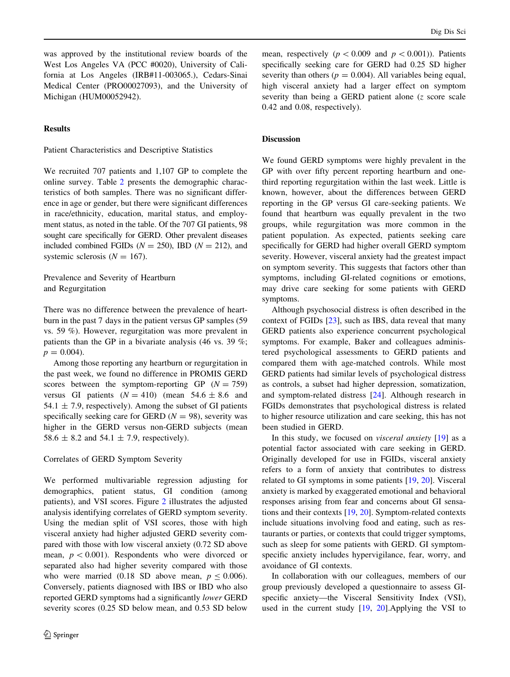was approved by the institutional review boards of the West Los Angeles VA (PCC #0020), University of California at Los Angeles (IRB#11-003065.), Cedars-Sinai Medical Center (PRO00027093), and the University of Michigan (HUM00052942).

### **Results**

Patient Characteristics and Descriptive Statistics

We recruited 707 patients and 1,107 GP to complete the online survey. Table [2](#page-5-0) presents the demographic characteristics of both samples. There was no significant difference in age or gender, but there were significant differences in race/ethnicity, education, marital status, and employment status, as noted in the table. Of the 707 GI patients, 98 sought care specifically for GERD. Other prevalent diseases included combined FGIDs ( $N = 250$ ), IBD ( $N = 212$ ), and systemic sclerosis  $(N = 167)$ .

Prevalence and Severity of Heartburn and Regurgitation

There was no difference between the prevalence of heartburn in the past 7 days in the patient versus GP samples (59 vs. 59 %). However, regurgitation was more prevalent in patients than the GP in a bivariate analysis (46 vs. 39 %;  $p = 0.004$ .

Among those reporting any heartburn or regurgitation in the past week, we found no difference in PROMIS GERD scores between the symptom-reporting GP  $(N = 759)$ versus GI patients  $(N = 410)$  (mean 54.6 ± 8.6 and 54.1  $\pm$  7.9, respectively). Among the subset of GI patients specifically seeking care for GERD  $(N = 98)$ , severity was higher in the GERD versus non-GERD subjects (mean 58.6  $\pm$  8.2 and 54.1  $\pm$  7.9, respectively).

#### Correlates of GERD Symptom Severity

We performed multivariable regression adjusting for demographics, patient status, GI condition (among patients), and VSI scores. Figure [2](#page-7-0) illustrates the adjusted analysis identifying correlates of GERD symptom severity. Using the median split of VSI scores, those with high visceral anxiety had higher adjusted GERD severity compared with those with low visceral anxiety (0.72 SD above mean,  $p < 0.001$ ). Respondents who were divorced or separated also had higher severity compared with those who were married (0.18 SD above mean,  $p \le 0.006$ ). Conversely, patients diagnosed with IBS or IBD who also reported GERD symptoms had a significantly lower GERD severity scores (0.25 SD below mean, and 0.53 SD below

mean, respectively ( $p<0.009$  and  $p<0.001$ )). Patients specifically seeking care for GERD had 0.25 SD higher severity than others ( $p = 0.004$ ). All variables being equal, high visceral anxiety had a larger effect on symptom severity than being a GERD patient alone (z score scale 0.42 and 0.08, respectively).

### Discussion

We found GERD symptoms were highly prevalent in the GP with over fifty percent reporting heartburn and onethird reporting regurgitation within the last week. Little is known, however, about the differences between GERD reporting in the GP versus GI care-seeking patients. We found that heartburn was equally prevalent in the two groups, while regurgitation was more common in the patient population. As expected, patients seeking care specifically for GERD had higher overall GERD symptom severity. However, visceral anxiety had the greatest impact on symptom severity. This suggests that factors other than symptoms, including GI-related cognitions or emotions, may drive care seeking for some patients with GERD symptoms.

Although psychosocial distress is often described in the context of FGIDs [[23\]](#page-9-0), such as IBS, data reveal that many GERD patients also experience concurrent psychological symptoms. For example, Baker and colleagues administered psychological assessments to GERD patients and compared them with age-matched controls. While most GERD patients had similar levels of psychological distress as controls, a subset had higher depression, somatization, and symptom-related distress [[24\]](#page-9-0). Although research in FGIDs demonstrates that psychological distress is related to higher resource utilization and care seeking, this has not been studied in GERD.

In this study, we focused on visceral anxiety [[19\]](#page-9-0) as a potential factor associated with care seeking in GERD. Originally developed for use in FGIDs, visceral anxiety refers to a form of anxiety that contributes to distress related to GI symptoms in some patients [[19,](#page-9-0) [20](#page-9-0)]. Visceral anxiety is marked by exaggerated emotional and behavioral responses arising from fear and concerns about GI sensations and their contexts [\[19](#page-9-0), [20](#page-9-0)]. Symptom-related contexts include situations involving food and eating, such as restaurants or parties, or contexts that could trigger symptoms, such as sleep for some patients with GERD. GI symptomspecific anxiety includes hypervigilance, fear, worry, and avoidance of GI contexts.

In collaboration with our colleagues, members of our group previously developed a questionnaire to assess GIspecific anxiety—the Visceral Sensitivity Index (VSI), used in the current study  $[19, 20]$  $[19, 20]$  $[19, 20]$ . Applying the VSI to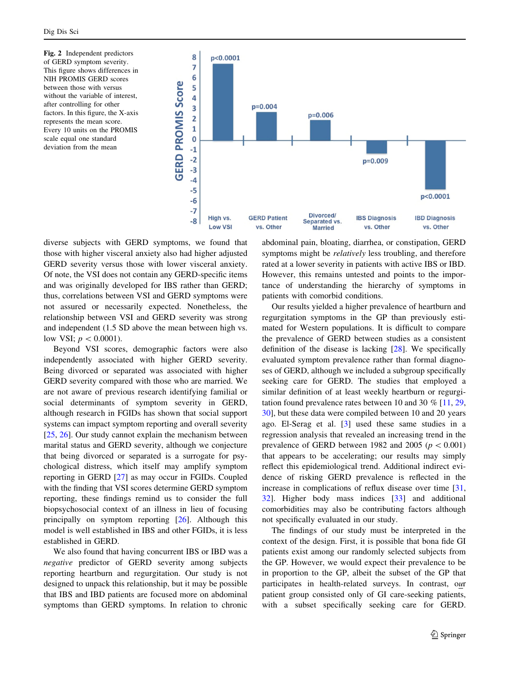<span id="page-7-0"></span>Fig. 2 Independent predictors of GERD symptom severity. This figure shows differences in NIH PROMIS GERD scores between those with versus without the variable of interest, after controlling for other factors. In this figure, the X-axis represents the mean score. Every 10 units on the PROMIS scale equal one standard deviation from the mean



diverse subjects with GERD symptoms, we found that those with higher visceral anxiety also had higher adjusted GERD severity versus those with lower visceral anxiety. Of note, the VSI does not contain any GERD-specific items and was originally developed for IBS rather than GERD; thus, correlations between VSI and GERD symptoms were not assured or necessarily expected. Nonetheless, the relationship between VSI and GERD severity was strong and independent (1.5 SD above the mean between high vs. low VSI;  $p < 0.0001$ ).

Beyond VSI scores, demographic factors were also independently associated with higher GERD severity. Being divorced or separated was associated with higher GERD severity compared with those who are married. We are not aware of previous research identifying familial or social determinants of symptom severity in GERD, although research in FGIDs has shown that social support systems can impact symptom reporting and overall severity [\[25](#page-9-0), [26\]](#page-9-0). Our study cannot explain the mechanism between marital status and GERD severity, although we conjecture that being divorced or separated is a surrogate for psychological distress, which itself may amplify symptom reporting in GERD [\[27](#page-9-0)] as may occur in FGIDs. Coupled with the finding that VSI scores determine GERD symptom reporting, these findings remind us to consider the full biopsychosocial context of an illness in lieu of focusing principally on symptom reporting [[26\]](#page-9-0). Although this model is well established in IBS and other FGIDs, it is less established in GERD.

We also found that having concurrent IBS or IBD was a negative predictor of GERD severity among subjects reporting heartburn and regurgitation. Our study is not designed to unpack this relationship, but it may be possible that IBS and IBD patients are focused more on abdominal symptoms than GERD symptoms. In relation to chronic

abdominal pain, bloating, diarrhea, or constipation, GERD symptoms might be relatively less troubling, and therefore rated at a lower severity in patients with active IBS or IBD. However, this remains untested and points to the importance of understanding the hierarchy of symptoms in patients with comorbid conditions.

Our results yielded a higher prevalence of heartburn and regurgitation symptoms in the GP than previously estimated for Western populations. It is difficult to compare the prevalence of GERD between studies as a consistent definition of the disease is lacking [\[28\]](#page-9-0). We specifically evaluated symptom prevalence rather than formal diagnoses of GERD, although we included a subgroup specifically seeking care for GERD. The studies that employed a similar definition of at least weekly heartburn or regurgitation found prevalence rates between 10 and 30 % [[11,](#page-8-0) [29,](#page-9-0) [30](#page-9-0)], but these data were compiled between 10 and 20 years ago. El-Serag et al. [[3\]](#page-8-0) used these same studies in a regression analysis that revealed an increasing trend in the prevalence of GERD between 1982 and 2005 ( $p < 0.001$ ) that appears to be accelerating; our results may simply reflect this epidemiological trend. Additional indirect evidence of risking GERD prevalence is reflected in the increase in complications of reflux disease over time [[31,](#page-9-0) [32](#page-9-0)]. Higher body mass indices [[33\]](#page-9-0) and additional comorbidities may also be contributing factors although not specifically evaluated in our study.

The findings of our study must be interpreted in the context of the design. First, it is possible that bona fide GI patients exist among our randomly selected subjects from the GP. However, we would expect their prevalence to be in proportion to the GP, albeit the subset of the GP that participates in health-related surveys. In contrast, our patient group consisted only of GI care-seeking patients, with a subset specifically seeking care for GERD.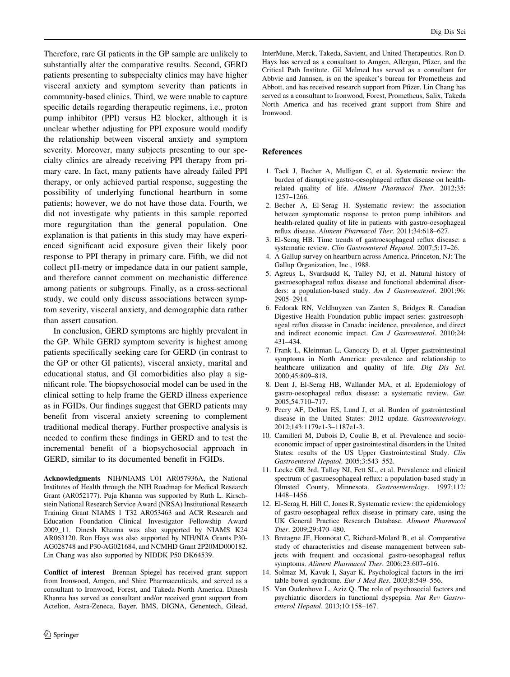<span id="page-8-0"></span>Therefore, rare GI patients in the GP sample are unlikely to substantially alter the comparative results. Second, GERD patients presenting to subspecialty clinics may have higher visceral anxiety and symptom severity than patients in community-based clinics. Third, we were unable to capture specific details regarding therapeutic regimens, i.e., proton pump inhibitor (PPI) versus H2 blocker, although it is unclear whether adjusting for PPI exposure would modify the relationship between visceral anxiety and symptom severity. Moreover, many subjects presenting to our specialty clinics are already receiving PPI therapy from primary care. In fact, many patients have already failed PPI therapy, or only achieved partial response, suggesting the possibility of underlying functional heartburn in some patients; however, we do not have those data. Fourth, we did not investigate why patients in this sample reported more regurgitation than the general population. One explanation is that patients in this study may have experienced significant acid exposure given their likely poor response to PPI therapy in primary care. Fifth, we did not collect pH-metry or impedance data in our patient sample, and therefore cannot comment on mechanistic difference among patients or subgroups. Finally, as a cross-sectional study, we could only discuss associations between symptom severity, visceral anxiety, and demographic data rather than assert causation.

In conclusion, GERD symptoms are highly prevalent in the GP. While GERD symptom severity is highest among patients specifically seeking care for GERD (in contrast to the GP or other GI patients), visceral anxiety, marital and educational status, and GI comorbidities also play a significant role. The biopsychosocial model can be used in the clinical setting to help frame the GERD illness experience as in FGIDs. Our findings suggest that GERD patients may benefit from visceral anxiety screening to complement traditional medical therapy. Further prospective analysis is needed to confirm these findings in GERD and to test the incremental benefit of a biopsychosocial approach in GERD, similar to its documented benefit in FGIDs.

Acknowledgments NIH/NIAMS U01 AR057936A, the National Institutes of Health through the NIH Roadmap for Medical Research Grant (AR052177). Puja Khanna was supported by Ruth L. Kirschstein National Research Service Award (NRSA) Institutional Research Training Grant NIAMS 1 T32 AR053463 and ACR Research and Education Foundation Clinical Investigator Fellowship Award 2009\_11. Dinesh Khanna was also supported by NIAMS K24 AR063120. Ron Hays was also supported by NIH/NIA Grants P30- AG028748 and P30-AG021684, and NCMHD Grant 2P20MD000182. Lin Chang was also supported by NIDDK P50 DK64539.

Conflict of interest Brennan Spiegel has received grant support from Ironwood, Amgen, and Shire Pharmaceuticals, and served as a consultant to Ironwood, Forest, and Takeda North America. Dinesh Khanna has served as consultant and/or received grant support from Actelion, Astra-Zeneca, Bayer, BMS, DIGNA, Genentech, Gilead,

InterMune, Merck, Takeda, Savient, and United Therapeutics. Ron D. Hays has served as a consultant to Amgen, Allergan, Pfizer, and the Critical Path Institute. Gil Melmed has served as a consultant for Abbvie and Jannsen, is on the speaker's bureau for Prometheus and Abbott, and has received research support from Pfizer. Lin Chang has served as a consultant to Ironwood, Forest, Prometheus, Salix, Takeda North America and has received grant support from Shire and Ironwood.

#### References

- 1. Tack J, Becher A, Mulligan C, et al. Systematic review: the burden of disruptive gastro-oesophageal reflux disease on healthrelated quality of life. Aliment Pharmacol Ther. 2012;35: 1257–1266.
- 2. Becher A, El-Serag H. Systematic review: the association between symptomatic response to proton pump inhibitors and health-related quality of life in patients with gastro-oesophageal reflux disease. Aliment Pharmacol Ther. 2011;34:618–627.
- 3. El-Serag HB. Time trends of gastroesophageal reflux disease: a systematic review. Clin Gastroenterol Hepatol. 2007;5:17-26.
- 4. A Gallup survey on heartburn across America. Princeton, NJ: The Gallup Organization, Inc., 1988.
- 5. Agreus L, Svardsudd K, Talley NJ, et al. Natural history of gastroesophageal reflux disease and functional abdominal disorders: a population-based study. Am J Gastroenterol. 2001;96: 2905–2914.
- 6. Fedorak RN, Veldhuyzen van Zanten S, Bridges R. Canadian Digestive Health Foundation public impact series: gastroesophageal reflux disease in Canada: incidence, prevalence, and direct and indirect economic impact. Can J Gastroenterol. 2010;24: 431–434.
- 7. Frank L, Kleinman L, Ganoczy D, et al. Upper gastrointestinal symptoms in North America: prevalence and relationship to healthcare utilization and quality of life. Dig Dis Sci. 2000;45:809–818.
- 8. Dent J, El-Serag HB, Wallander MA, et al. Epidemiology of gastro-oesophageal reflux disease: a systematic review. Gut. 2005;54:710–717.
- 9. Peery AF, Dellon ES, Lund J, et al. Burden of gastrointestinal disease in the United States: 2012 update. Gastroenterology. 2012;143:1179e1-3–1187e1-3.
- 10. Camilleri M, Dubois D, Coulie B, et al. Prevalence and socioeconomic impact of upper gastrointestinal disorders in the United States: results of the US Upper Gastrointestinal Study. Clin Gastroenterol Hepatol. 2005;3:543–552.
- 11. Locke GR 3rd, Talley NJ, Fett SL, et al. Prevalence and clinical spectrum of gastroesophageal reflux: a population-based study in Olmsted County, Minnesota. Gastroenterology. 1997;112: 1448–1456.
- 12. El-Serag H, Hill C, Jones R. Systematic review: the epidemiology of gastro-oesophageal reflux disease in primary care, using the UK General Practice Research Database. Aliment Pharmacol Ther. 2009;29:470–480.
- 13. Bretagne JF, Honnorat C, Richard-Molard B, et al. Comparative study of characteristics and disease management between subjects with frequent and occasional gastro-oesophageal reflux symptoms. Aliment Pharmacol Ther. 2006;23:607-616.
- 14. Solmaz M, Kavuk I, Sayar K. Psychological factors in the irritable bowel syndrome. Eur J Med Res. 2003;8:549–556.
- 15. Van Oudenhove L, Aziz Q. The role of psychosocial factors and psychiatric disorders in functional dyspepsia. Nat Rev Gastroenterol Hepatol. 2013;10:158–167.